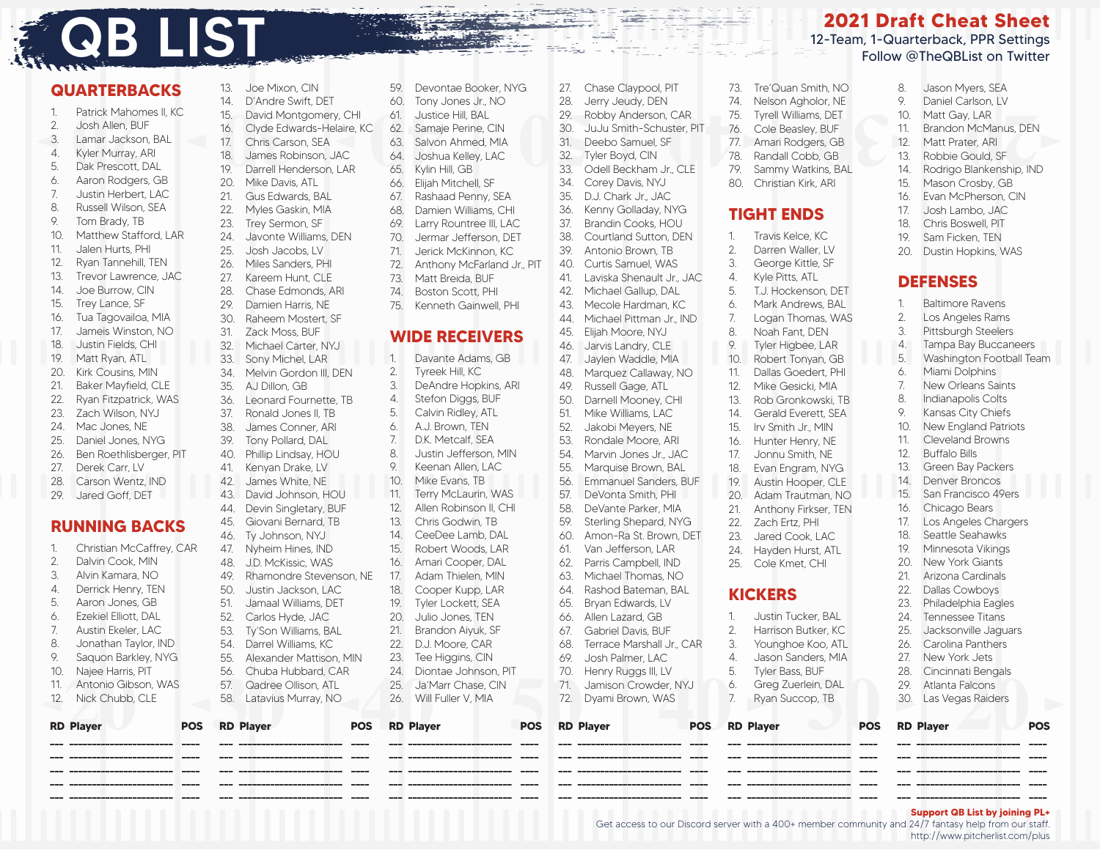# **QB LIST**

#### **QUARTERBACKS** 1 Patrick Mahomes II, KC

2. Josh Allen, BUF 3. Lamar Jackson, BAL 4. Kyler Murray, ARI 5. Dak Prescott, DAL 6. Aaron Rodgers, GB 7. Justin Herbert, LAC 8. Russell Wilson, SEA 9. Tom Brady, TB 10. Matthew Stafford, LAR 11. Jalen Hurts, PHI 12. Ryan Tannehill, TEN 13. Trevor Lawrence, JAC 14. Joe Burrow, CIN 15. Trey Lance, SF 16. Tua Tagovailoa, MIA 17. Jameis Winston, NO 18. Justin Fields, CHI 19. Matt Ryan, ATL 20. Kirk Cousins, MIN 21. Baker Mayfield, CLE 22. Ryan Fitzpatrick, WAS 23. Zach Wilson, NYJ 24. Mac Jones, NE 25. Daniel Jones, NYG 26. Ben Roethlisberger, PIT 27. Derek Carr, LV 28. Carson Wentz, IND 29. Jared Goff, DET **RUNNING BACKS** 1. Christian McCaffrey, CAR 2. Dalvin Cook, MIN 3. Alvin Kamara, NO 4. Derrick Henry, TEN 5. Aaron Jones, GB 6. Ezekiel Elliott, DAL 7. Austin Ekeler, LAC 8. Jonathan Taylor, IND 9. Saquon Barkley, NYG 10. Najee Harris, PIT 11. Antonio Gibson, WAS 12. Nick Chubb, CLE **RD Player POS**

13. Joe Mixon, CIN 14. D'Andre Swift, DET 15. David Montgomery, CHI 16. Clyde Edwards-Helaire, KC 17. Chris Carson, SEA 18. James Robinson, JAC 19. Darrell Henderson, LAR 20. Mike Davis, ATL 21. Gus Edwards, BAL 22. Myles Gaskin, MIA 23. Trey Sermon, SF 24. Javonte Williams, DEN 25. Josh Jacobs, LV 26. Miles Sanders, PHI 27. Kareem Hunt, CLE 28. Chase Edmonds, ARI 29. Damien Harris, NE 30. Raheem Mostert, SF 31. Zack Moss, BUF 32 Michael Carter, NYJ 33. Sony Michel, LAR 34. Melvin Gordon III, DEN 35. AJ Dillon, GB 36. Leonard Fournette, TB 37. Ronald Jones II, TB 38. James Conner, ARI 39. Tony Pollard, DAL 40. Phillip Lindsay, HOU 41. Kenyan Drake, LV 42. James White, NE 43. David Johnson, HOU 44. Devin Singletary, BUF 45. Giovani Bernard, TB 46. Ty Johnson, NYJ 47. Nyheim Hines, IND 48. J.D. McKissic, WAS 49. Rhamondre Stevenson, NE 50. Justin Jackson, LAC 51. Jamaal Williams, DET 52. Carlos Hyde, JAC 53. Ty'Son Williams, BAL 54. Darrel Williams, KC 55. Alexander Mattison, MIN 56. Chuba Hubbard, CAR 57. Qadree Ollison, ATL 58. Latavius Murray, NO

59. Devontae Booker, NYG 60. Tony Jones Jr., NO 61. Justice Hill, BAL 62. Samaje Perine, CIN 63. Salvon Ahmed, MIA 64. Joshua Kelley, LAC 65. Kylin Hill, GB 66. Elijah Mitchell, SF 67. Rashaad Penny, SEA 68. Damien Williams, CHI 69. Larry Rountree III, LAC 70. Jermar Jefferson, DET 71. Jerick McKinnon, KC 72. Anthony McFarland Jr., PIT 73. Matt Breida, BUF 74. Boston Scott, PHI 75. Kenneth Gainwell, PHI **WIDE RECEIVERS** 1. Davante Adams, GB 2. Tyreek Hill, KC 3. DeAndre Hopkins, ARI 4. Stefon Diggs, BUF 5. Calvin Ridley, ATL 6. A.J. Brown, TEN 7. D.K. Metcalf, SEA 8. Justin Jefferson, MIN 9. Keenan Allen, LAC 10. Mike Evans, TB 11. Terry McLaurin, WAS 12. Allen Robinson II, CHI 13. Chris Godwin, TB 14. CeeDee Lamb, DAL 15. Robert Woods, LAR 16. Amari Cooper, DAL 17. Adam Thielen, MIN 18. Cooper Kupp, LAR 19. Tyler Lockett, SEA 20. Julio Jones, TEN 21. Brandon Aiyuk, SF 22. D.J. Moore, CAR 23. Tee Higgins, CIN 24. Diontae Johnson, PIT 25. Ja'Marr Chase, CIN 26. Will Fuller V, MIA

27. Chase Claypool, PIT 28. Jerry Jeudy, DEN 29. Robby Anderson, CAR 30. JuJu Smith-Schuster, PIT 31. Deebo Samuel, SF 32. Tyler Boyd, CIN 33. Odell Beckham Jr., CLE 34. Corey Davis, NYJ 35. D.J. Chark Jr., JAC 36. Kenny Golladay, NYG 37. Brandin Cooks, HOU 38. Courtland Sutton, DEN 39. Antonio Brown, TB 40. Curtis Samuel, WAS 41. Laviska Shenault Jr., JAC 42. Michael Gallup, DAL 43. Mecole Hardman, KC 44. Michael Pittman Jr., IND 45. Elijah Moore, NYJ 46. Jarvis Landry, CLE 47. Jaylen Waddle, MIA 48. Marquez Callaway, NO 49. Russell Gage, ATL 50. Darnell Mooney, CHI 51. Mike Williams, LAC 52. Jakobi Meyers, NE 53. Rondale Moore, ARI 54. Marvin Jones Jr., JAC 55. Marquise Brown, BAL<br>56. Emmanuel Sanders F 56. Emmanuel Sanders, BUF 57. DeVonta Smith, PHI 58. DeVante Parker, MIA 59. Sterling Shepard, NYG 60. Amon-Ra St. Brown, DET 61. Van Jefferson, LAR 62. Parris Campbell, IND 63. Michael Thomas, NO 64. Rashod Bateman, BAL 65. Bryan Edwards, LV 66. Allen Lazard, GB 67. Gabriel Davis, BUF 68. Terrace Marshall Jr., CAR 69. Josh Palmer, LAC 70. Henry Ruggs III, LV 71. Jamison Crowder, NYJ 72. Dyami Brown, WAS

### **2021 Draft Cheat Sheet** 12-Team, 1-Quarterback, PPR Settings Follow @TheQBList on Twitter

28. NODD And Sole Cover 10. Natural Specifical Server 10. Natural Specifical Server 10. Natural Specifical Server 10. Natural Specifical Server 10. Natural Specifical Server 10. Natural Specifical Server 10. Natural Specif 73. Tre'Quan Smith, NO 74. Nelson Agholor, NE 75. Tyrell Williams, DET 76. Cole Beasley, BUF 77. Amari Rodgers, GB 78. Randall Cobb, GB 79. Sammy Watkins, BAL 80. Christian Kirk, ARI **TIGHT ENDS** 1. Travis Kelce, KC 2. Darren Waller, LV 3. George Kittle, SF 4. Kyle Pitts, ATL 5. T.J. Hockenson, DET 6. Mark Andrews, BAL 7. Logan Thomas, WAS 8. Noah Fant, DEN 9. Tyler Higbee, LAR 10. Robert Tonyan, GB 11. Dallas Goedert, PHI 12. Mike Gesicki, MIA 13. Rob Gronkowski, TB 14. Gerald Everett, SEA 15. Irv Smith Jr., MIN 16. Hunter Henry, NE 17. Jonnu Smith, NE 18. Evan Engram, NYG 19. Austin Hooper, CLE 20. Adam Trautman, NO 21. Anthony Firkser, TEN 22. Zach Ertz, PHI 23. Jared Cook, LAC 24. Hayden Hurst, ATL 25. Cole Kmet, CHI **KICKERS** 1. Justin Tucker, BAL 2. Harrison Butker, KC 3. Younghoe Koo, ATL 4. Jason Sanders, MIA 5. Tyler Bass, BUF 6. Greg Zuerlein, DAL 7. Ryan Succop, TB

8. Jason Myers, SEA

- 9. Daniel Carlson, LV
- 10. Matt Gay, LAR
- 11. Brandon McManus, DEN
- 12. Matt Prater, ARI
- 13. Robbie Gould, SF
- 14. Rodrigo Blankenship, IND
- 15. Mason Crosby, GB
- 16. Evan McPherson, CIN 17. Josh Lambo, JAC
- 18. Chris Boswell, PIT
- 19. Sam Ficken, TEN
- 20. Dustin Hopkins, WAS

#### **DEFENSES**

1. Baltimore Ravens 2. Los Angeles Rams 3. Pittsburgh Steelers 4. Tampa Bay Buccaneers 5. Washington Football Team 6. Miami Dolphins 7. New Orleans Saints 8. Indianapolis Colts 9. Kansas City Chiefs 10. New England Patriots 11. Cleveland Browns 12. Buffalo Bills 13. Green Bay Packers 14. Denver Broncos 15. San Francisco 49ers 16. Chicago Bears 17. Los Angeles Chargers 18. Seattle Seahawks 19. Minnesota Vikings 20. New York Giants 21. Arizona Cardinals 22. Dallas Cowboys<br>23. Philadelphia Eag Philadelphia Eagles 24. Tennessee Titans 25. Jacksonville Jaguars 26. Carolina Panthers 27. New York Jets 28. Cincinnati Bengals 29. Atlanta Falcons 30. Las Vegas Raiders

| Antonio Gibson, WAS<br>11<br>12. Nick Chubb, CLE | $\sigma$ . $\sigma$ rapa riappara, $\sigma$ , in<br>57. Qadree Ollison, ATL<br>58. Latavius Murray, NO | 25. Ja'Marr Chase, CIN<br>26. Will Fuller V, MIA | $10.$ There $\mu$ is the group in $\mu$<br>$\sim$ . $\sim$ $\sim$ . Bass, Bo $\sim$ .<br>6. Greg Zuerlein, DAL<br>71. Jamison Crowder, NYJ<br>72. Dyami Brown, WAS<br>Ryan Succop, TB | LO. Official for Borrgan<br>29. Atlanta Falcons<br>30. Las Vegas Raiders |
|--------------------------------------------------|--------------------------------------------------------------------------------------------------------|--------------------------------------------------|---------------------------------------------------------------------------------------------------------------------------------------------------------------------------------------|--------------------------------------------------------------------------|
| <b>RD Plaver</b>                                 | <b>POS</b> RD Player<br><b>POS</b>                                                                     | <b>RD Player</b>                                 | POS RD Player<br><b>POS</b> RD Player                                                                                                                                                 | <b>POS</b><br><b>RD Player</b><br><b>POS</b>                             |
|                                                  |                                                                                                        |                                                  |                                                                                                                                                                                       | _________________________________<br>-----                               |
|                                                  |                                                                                                        |                                                  |                                                                                                                                                                                       | ____                                                                     |
|                                                  |                                                                                                        |                                                  |                                                                                                                                                                                       |                                                                          |
|                                                  |                                                                                                        |                                                  |                                                                                                                                                                                       |                                                                          |
| -----                                            |                                                                                                        | -----                                            | ---<br>_____                                                                                                                                                                          | _________________________________                                        |

**Support QB List by joining PL+**

Get access to our Discord server with a 400+ member community and 24/7 fantasy help from our staff. http://www.pitcherlist.com/plus